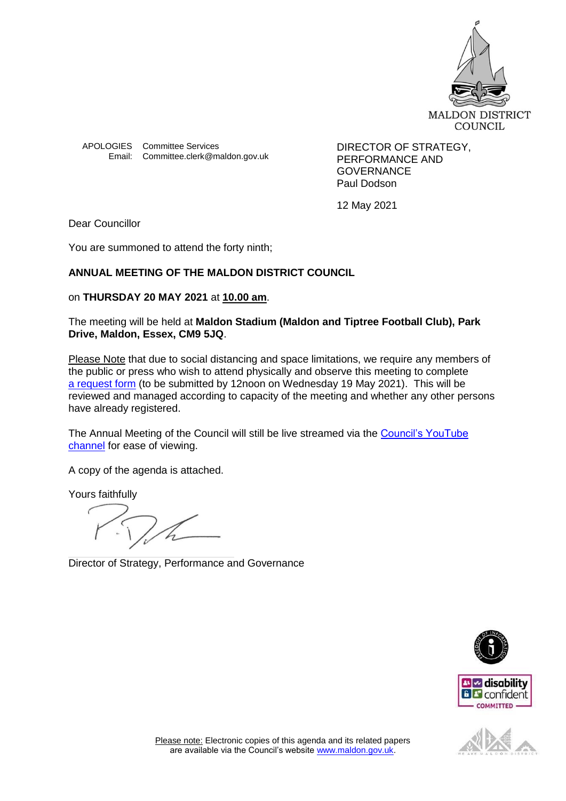

APOLOGIES Committee Services **DIRECTOR OF STRATEGY**, Email: Committee.clerk@maldon.gov.uk

PERFORMANCE AND **GOVERNANCE** Paul Dodson

12 May 2021

Dear Councillor

You are summoned to attend the forty ninth;

# **ANNUAL MEETING OF THE MALDON DISTRICT COUNCIL**

## on **THURSDAY 20 MAY 2021** at **10.00 am**.

## The meeting will be held at **Maldon Stadium (Maldon and Tiptree Football Club), Park Drive, Maldon, Essex, CM9 5JQ**.

Please Note that due to social distancing and space limitations, we require any members of the public or press who wish to attend physically and observe this meeting to complete [a request form](https://forms.office.com/Pages/ResponsePage.aspx?id=VH_RilQmuUumwvI0YlcqFJCd4KzoXBdDs1brNZU39TJUOVpCU0xQVlRWQlhHVU8wVThIMU03UjFLSC4u) (to be submitted by 12noon on Wednesday 19 May 2021). This will be reviewed and managed according to capacity of the meeting and whether any other persons have already registered.

The Annual Meeting of the Council will still be live streamed via the Council's YouTube [channel](https://www.youtube.com/channel/UCWKn8R24ZTbD3eaEJtq6bYw/featured) for ease of viewing.

A copy of the agenda is attached.

Yours faithfully

Director of Strategy, Performance and Governance





COMMITTED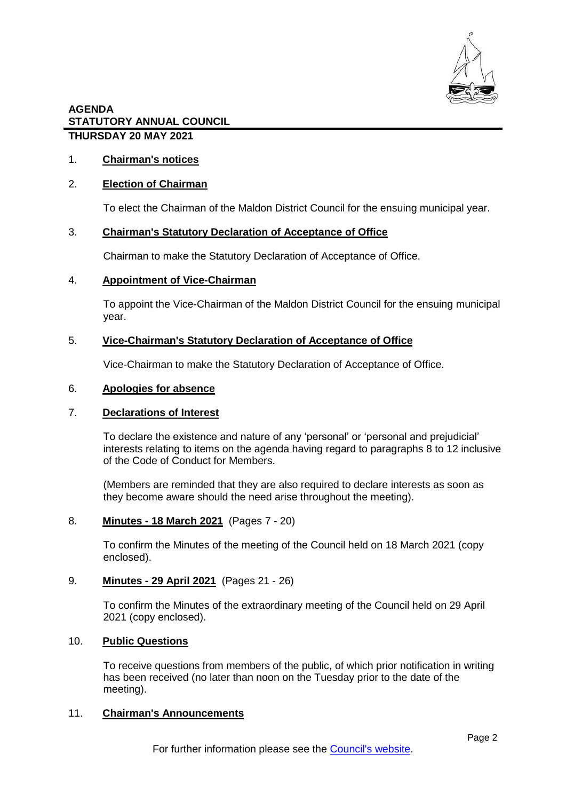

## 1. **Chairman's notices**

## 2. **Election of Chairman**

To elect the Chairman of the Maldon District Council for the ensuing municipal year.

### 3. **Chairman's Statutory Declaration of Acceptance of Office**

Chairman to make the Statutory Declaration of Acceptance of Office.

#### 4. **Appointment of Vice-Chairman**

To appoint the Vice-Chairman of the Maldon District Council for the ensuing municipal year.

### 5. **Vice-Chairman's Statutory Declaration of Acceptance of Office**

Vice-Chairman to make the Statutory Declaration of Acceptance of Office.

#### 6. **Apologies for absence**

#### 7. **Declarations of Interest**

To declare the existence and nature of any 'personal' or 'personal and prejudicial' interests relating to items on the agenda having regard to paragraphs 8 to 12 inclusive of the Code of Conduct for Members.

(Members are reminded that they are also required to declare interests as soon as they become aware should the need arise throughout the meeting).

## 8. **Minutes - 18 March 2021** (Pages 7 - 20)

To confirm the Minutes of the meeting of the Council held on 18 March 2021 (copy enclosed).

## 9. **Minutes - 29 April 2021** (Pages 21 - 26)

To confirm the Minutes of the extraordinary meeting of the Council held on 29 April 2021 (copy enclosed).

## 10. **Public Questions**

To receive questions from members of the public, of which prior notification in writing has been received (no later than noon on the Tuesday prior to the date of the meeting).

#### 11. **Chairman's Announcements**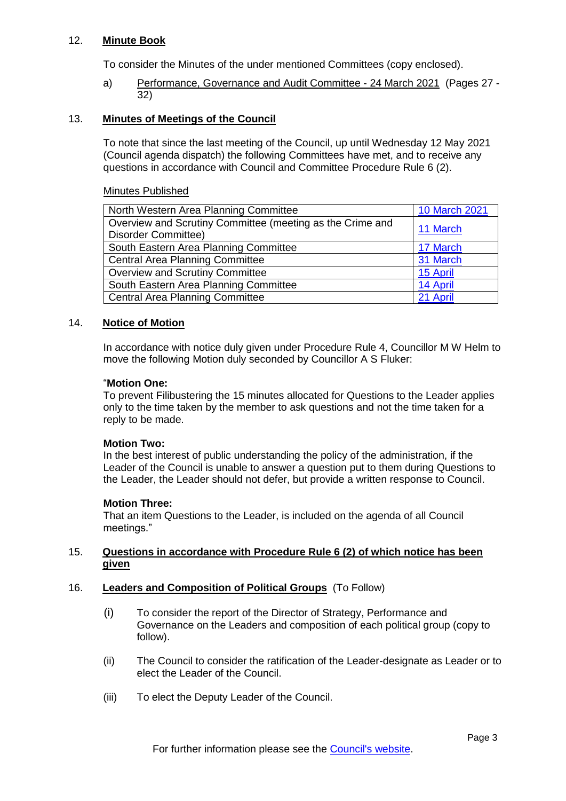## 12. **Minute Book**

To consider the Minutes of the under mentioned Committees (copy enclosed).

a) Performance, Governance and Audit Committee - 24 March 2021 (Pages 27 - 32)

### 13. **Minutes of Meetings of the Council**

To note that since the last meeting of the Council, up until Wednesday 12 May 2021 (Council agenda dispatch) the following Committees have met, and to receive any questions in accordance with Council and Committee Procedure Rule 6 (2).

#### Minutes Published

| North Western Area Planning Committee                     | 10 March 2021 |
|-----------------------------------------------------------|---------------|
| Overview and Scrutiny Committee (meeting as the Crime and |               |
| Disorder Committee)                                       | 11 March      |
| South Eastern Area Planning Committee                     | 17 March      |
| <b>Central Area Planning Committee</b>                    | 31 March      |
| <b>Overview and Scrutiny Committee</b>                    | 15 April      |
| South Eastern Area Planning Committee                     | 14 April      |
| <b>Central Area Planning Committee</b>                    | 21 April      |
|                                                           |               |

### 14. **Notice of Motion**

In accordance with notice duly given under Procedure Rule 4, Councillor M W Helm to move the following Motion duly seconded by Councillor A S Fluker:

#### "**Motion One:**

To prevent Filibustering the 15 minutes allocated for Questions to the Leader applies only to the time taken by the member to ask questions and not the time taken for a reply to be made.

#### **Motion Two:**

In the best interest of public understanding the policy of the administration, if the Leader of the Council is unable to answer a question put to them during Questions to the Leader, the Leader should not defer, but provide a written response to Council.

#### **Motion Three:**

That an item Questions to the Leader, is included on the agenda of all Council meetings."

### 15. **Questions in accordance with Procedure Rule 6 (2) of which notice has been given**

## 16. **Leaders and Composition of Political Groups** (To Follow)

- (i) To consider the report of the Director of Strategy, Performance and Governance on the Leaders and composition of each political group (copy to follow).
- (ii) The Council to consider the ratification of the Leader-designate as Leader or to elect the Leader of the Council.
- (iii) To elect the Deputy Leader of the Council.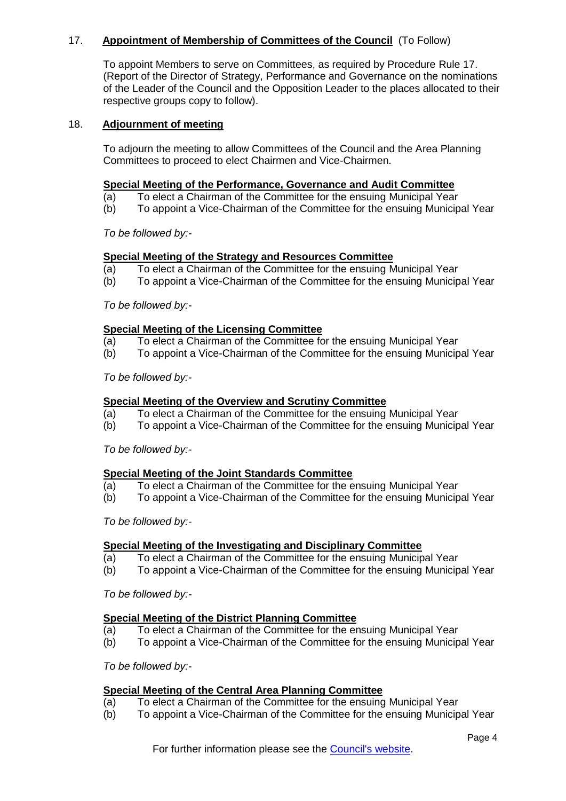## 17. **Appointment of Membership of Committees of the Council** (To Follow)

To appoint Members to serve on Committees, as required by Procedure Rule 17. (Report of the Director of Strategy, Performance and Governance on the nominations of the Leader of the Council and the Opposition Leader to the places allocated to their respective groups copy to follow).

### 18. **Adjournment of meeting**

To adjourn the meeting to allow Committees of the Council and the Area Planning Committees to proceed to elect Chairmen and Vice-Chairmen.

### **Special Meeting of the Performance, Governance and Audit Committee**

- (a) To elect a Chairman of the Committee for the ensuing Municipal Year
- (b) To appoint a Vice-Chairman of the Committee for the ensuing Municipal Year

*To be followed by:-*

### **Special Meeting of the Strategy and Resources Committee**

- (a) To elect a Chairman of the Committee for the ensuing Municipal Year
- (b) To appoint a Vice-Chairman of the Committee for the ensuing Municipal Year

*To be followed by:-*

### **Special Meeting of the Licensing Committee**

- (a) To elect a Chairman of the Committee for the ensuing Municipal Year
- (b) To appoint a Vice-Chairman of the Committee for the ensuing Municipal Year

*To be followed by:-*

#### **Special Meeting of the Overview and Scrutiny Committee**

- (a) To elect a Chairman of the Committee for the ensuing Municipal Year
- (b) To appoint a Vice-Chairman of the Committee for the ensuing Municipal Year

*To be followed by:-*

#### **Special Meeting of the Joint Standards Committee**

- (a) To elect a Chairman of the Committee for the ensuing Municipal Year
- (b) To appoint a Vice-Chairman of the Committee for the ensuing Municipal Year

*To be followed by:-*

## **Special Meeting of the Investigating and Disciplinary Committee**

- (a) To elect a Chairman of the Committee for the ensuing Municipal Year
- (b) To appoint a Vice-Chairman of the Committee for the ensuing Municipal Year

*To be followed by:-*

## **Special Meeting of the District Planning Committee**

- (a) To elect a Chairman of the Committee for the ensuing Municipal Year
- (b) To appoint a Vice-Chairman of the Committee for the ensuing Municipal Year

*To be followed by:-*

#### **Special Meeting of the Central Area Planning Committee**

- (a) To elect a Chairman of the Committee for the ensuing Municipal Year
- (b) To appoint a Vice-Chairman of the Committee for the ensuing Municipal Year